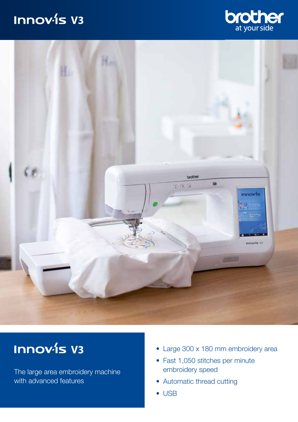# **Innov-is V3**





# **Innov-is V3**

The large area embroidery machine with advanced features

- Large 300 x 180 mm embroidery area
- Fast 1,050 stitches per minute embroidery speed
- Automatic thread cutting
- USB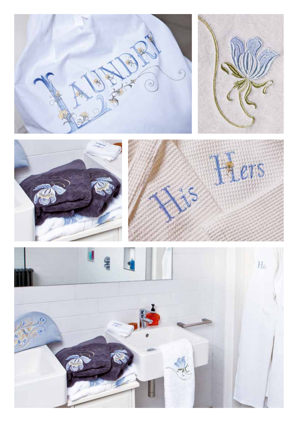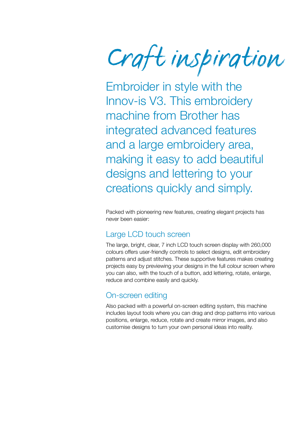*Craft inspiration*

Embroider in style with the Innov-is V3. This embroidery machine from Brother has integrated advanced features and a large embroidery area, making it easy to add beautiful designs and lettering to your creations quickly and simply.

Packed with pioneering new features, creating elegant projects has never been easier:

#### Large LCD touch screen

The large, bright, clear, 7 inch LCD touch screen display with 260,000 colours offers user-friendly controls to select designs, edit embroidery patterns and adjust stitches. These supportive features makes creating projects easy by previewing your designs in the full colour screen where you can also, with the touch of a button, add lettering, rotate, enlarge, reduce and combine easily and quickly.

#### On-screen editing

Also packed with a powerful on-screen editing system, this machine includes layout tools where you can drag and drop patterns into various positions, enlarge, reduce, rotate and create mirror images, and also customise designs to turn your own personal ideas into reality.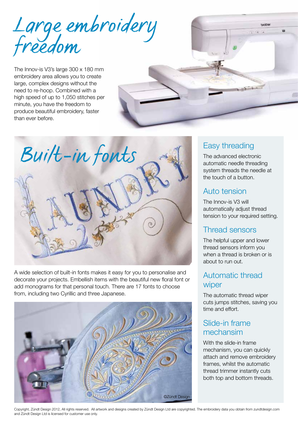*Large embroidery freedom*

The Innov-is V3's large 300 x 180 mm embroidery area allows you to create large, complex designs without the need to re-hoop. Combined with a high speed of up to 1,050 stitches per minute, you have the freedom to produce beautiful embroidery, faster than ever before.





A wide selection of built-in fonts makes it easy for you to personalise and decorate your projects. Embellish items with the beautiful new floral font or add monograms for that personal touch. There are 17 fonts to choose from, including two Cyrillic and three Japanese.



The advanced electronic automatic needle threading system threads the needle at the touch of a button.

#### Auto tension

The Innov-is V3 will automatically adjust thread tension to your required setting.

#### Thread sensors

The helpful upper and lower thread sensors inform you when a thread is broken or is about to run out.

### Automatic thread wiper

The automatic thread wiper cuts jumps stitches, saving you time and effort.

### Slide-in frame mechansim

With the slide-in frame mechanism, you can quickly attach and remove embroidery frames, whilst the automatic thread trimmer instantly cuts both top and bottom threads.

Copyright, Zündt Design 2012, All rights reserved. All artwork and designs created by Zündt Design Ltd are copyrighted. The embroidery data you obtain from zundtdesign.com and Zündt Design Ltd is licensed for customer use only.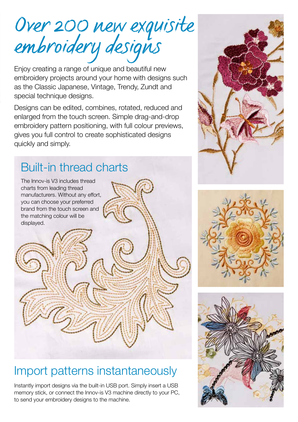# *Over 200 new exquisite embroidery designs*

Enjoy creating a range of unique and beautiful new embroidery projects around your home with designs such as the Classic Japanese, Vintage, Trendy, Zundt and special technique designs.

Designs can be edited, combines, rotated, reduced and enlarged from the touch screen. Simple drag-and-drop embroidery pattern positioning, with full colour previews, gives you full control to create sophisticated designs quickly and simply.

# Built-in thread charts

The Innov-is V3 includes thread charts from leading thread manufacturers. Without any effort, you can choose your preferred brand from the touch screen and the matching colour will be displayed.

# Import patterns instantaneously

Instantly import designs via the built-in USB port. Simply insert a USB memory stick, or connect the Innov-is V3 machine directly to your PC, to send your embroidery designs to the machine.





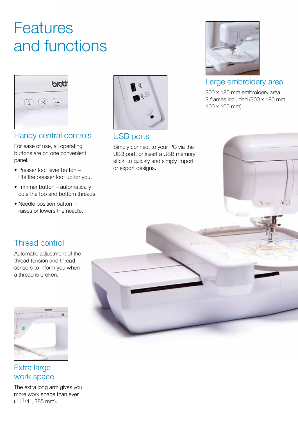# Features and functions



### Handy central controls

For ease of use, all operating buttons are on one convenient panel.

- Presser foot lever button lifts the presser foot up for you.
- Trimmer button automatically cuts the top and bottom threads.
- Needle position button raises or lowers the needle.



#### USB ports

Simply connect to your PC via the USB port, or insert a USB memory stick, to quickly and simply import or export designs.



#### Large embroidery area

300 x 180 mm embroidery area, 2 frames included (300 x 180 mm, 100 x 100 mm).



### Thread control

Automatic adjustment of the thread tension and thread sensors to inform you when a thread is broken.

| twother |  |  |  |
|---------|--|--|--|
| w       |  |  |  |
|         |  |  |  |
|         |  |  |  |
|         |  |  |  |
|         |  |  |  |

Extra large work space

The extra long arm gives you more work space than ever  $(11^1/4$ ", 285 mm).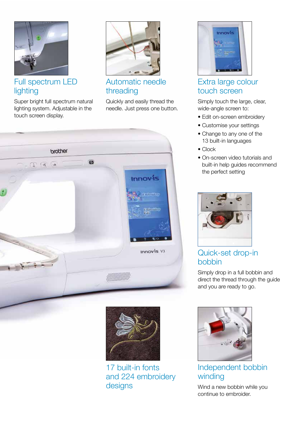

#### Full spectrum LED lighting

Super bright full spectrum natural lighting system. Adjustable in the touch screen display.



### Automatic needle threading

Quickly and easily thread the needle. Just press one button.





17 built-in fonts and 224 embroidery designs



### Extra large colour touch screen

Simply touch the large, clear, wide-angle screen to:

- Edit on-screen embroidery
- Customise your settings
- Change to any one of the 13 built-in languages
- Clock
- On-screen video tutorials and built-in help guides recommend the perfect setting



#### Quick-set drop-in bobbin

Simply drop in a full bobbin and direct the thread through the guide and you are ready to go.



Independent bobbin winding

Wind a new bobbin while you continue to embroider.